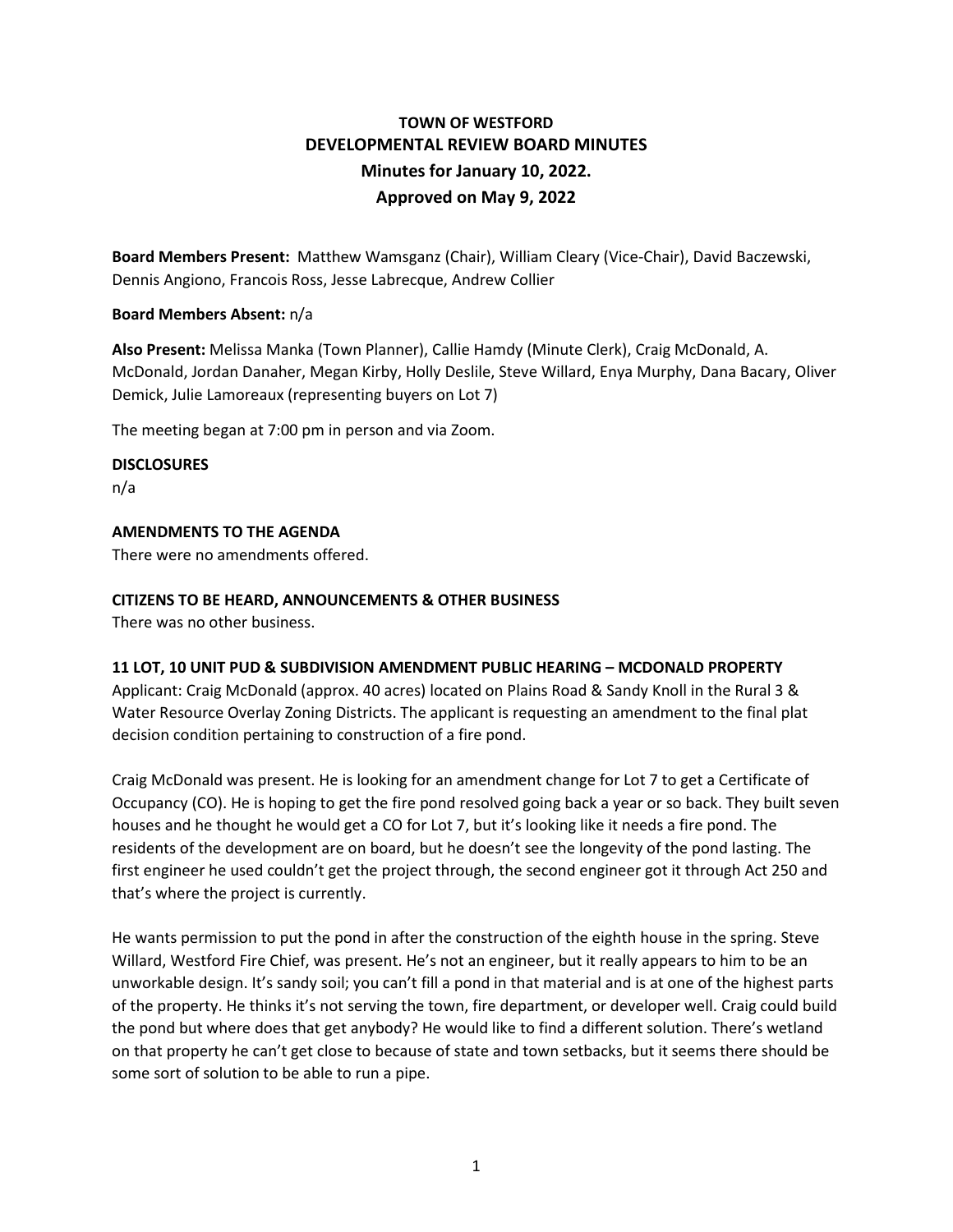# **TOWN OF WESTFORD DEVELOPMENTAL REVIEW BOARD MINUTES Minutes for January 10, 2022. Approved on May 9, 2022**

**Board Members Present:** Matthew Wamsganz (Chair), William Cleary (Vice-Chair), David Baczewski, Dennis Angiono, Francois Ross, Jesse Labrecque, Andrew Collier

## **Board Members Absent:** n/a

**Also Present:** Melissa Manka (Town Planner), Callie Hamdy (Minute Clerk), Craig McDonald, A. McDonald, Jordan Danaher, Megan Kirby, Holly Deslile, Steve Willard, Enya Murphy, Dana Bacary, Oliver Demick, Julie Lamoreaux (representing buyers on Lot 7)

The meeting began at 7:00 pm in person and via Zoom.

### **DISCLOSURES**

n/a

# **AMENDMENTS TO THE AGENDA**

There were no amendments offered.

## **CITIZENS TO BE HEARD, ANNOUNCEMENTS & OTHER BUSINESS**

There was no other business.

## **11 LOT, 10 UNIT PUD & SUBDIVISION AMENDMENT PUBLIC HEARING – MCDONALD PROPERTY**

Applicant: Craig McDonald (approx. 40 acres) located on Plains Road & Sandy Knoll in the Rural 3 & Water Resource Overlay Zoning Districts. The applicant is requesting an amendment to the final plat decision condition pertaining to construction of a fire pond.

Craig McDonald was present. He is looking for an amendment change for Lot 7 to get a Certificate of Occupancy (CO). He is hoping to get the fire pond resolved going back a year or so back. They built seven houses and he thought he would get a CO for Lot 7, but it's looking like it needs a fire pond. The residents of the development are on board, but he doesn't see the longevity of the pond lasting. The first engineer he used couldn't get the project through, the second engineer got it through Act 250 and that's where the project is currently.

He wants permission to put the pond in after the construction of the eighth house in the spring. Steve Willard, Westford Fire Chief, was present. He's not an engineer, but it really appears to him to be an unworkable design. It's sandy soil; you can't fill a pond in that material and is at one of the highest parts of the property. He thinks it's not serving the town, fire department, or developer well. Craig could build the pond but where does that get anybody? He would like to find a different solution. There's wetland on that property he can't get close to because of state and town setbacks, but it seems there should be some sort of solution to be able to run a pipe.